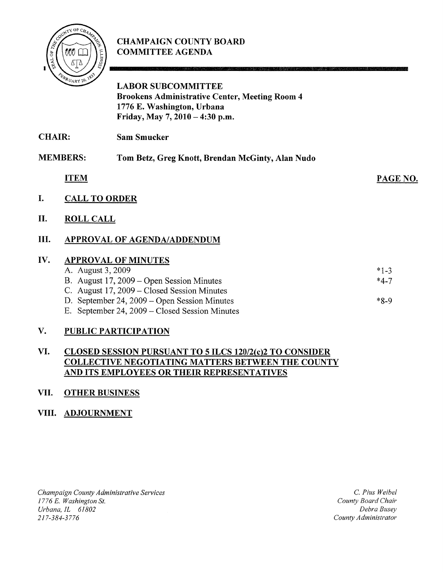

# CHAMPAIGN COUNTY BOARD COMMITTEE AGENDA

|             | <b>LABOR SUBCOMMITTEE</b><br><b>Brookens Administrative Center, Meeting Room 4</b><br>1776 E. Washington, Urbana<br>Friday, May 7, 2010 - 4:30 p.m. |                                                                                                                                                                                                                                                                                                                                 |
|-------------|-----------------------------------------------------------------------------------------------------------------------------------------------------|---------------------------------------------------------------------------------------------------------------------------------------------------------------------------------------------------------------------------------------------------------------------------------------------------------------------------------|
|             | <b>Sam Smucker</b>                                                                                                                                  |                                                                                                                                                                                                                                                                                                                                 |
|             | Tom Betz, Greg Knott, Brendan McGinty, Alan Nudo                                                                                                    |                                                                                                                                                                                                                                                                                                                                 |
| <b>ITEM</b> |                                                                                                                                                     | PAGE NO                                                                                                                                                                                                                                                                                                                         |
|             |                                                                                                                                                     |                                                                                                                                                                                                                                                                                                                                 |
|             |                                                                                                                                                     |                                                                                                                                                                                                                                                                                                                                 |
|             |                                                                                                                                                     |                                                                                                                                                                                                                                                                                                                                 |
|             |                                                                                                                                                     | $*1-3$<br>$*4-7$<br>$*8-9$                                                                                                                                                                                                                                                                                                      |
|             | <b>CHAIR:</b><br><b>MEMBERS:</b>                                                                                                                    | <b>CALL TO ORDER</b><br><b>ROLL CALL</b><br><b>APPROVAL OF AGENDA/ADDENDUM</b><br><b>APPROVAL OF MINUTES</b><br>A. August 3, 2009<br>B. August 17, 2009 – Open Session Minutes<br>C. August 17, 2009 – Closed Session Minutes<br>D. September 24, 2009 – Open Session Minutes<br>E. September 24, 2009 – Closed Session Minutes |

.<br>Katil se van ander ander die Klassestaans

# V. PUBLIC PARTICIPATION

## VI. CLOSED SESSION PURSUANT TO 5 ILCS 120/2(c)2 TO CONSIDER COLLECTIVE NEGOTIATING MATTERS BETWEEN THE COUNTY AND ITS EMPLOYEES OR THEIR REPRESENTATIVES

## VII. OTHER BUSINESS

## VIII. ADJOURNMENT

Champaign County Administrative Services 1776 E. Washington St. Urbana, IL 61802 21 7-384-3776

C. Pius Weibel County Board Chair Debra Busey County Administrator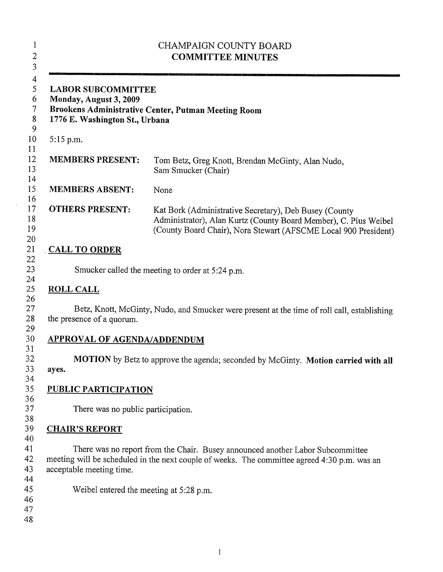| <b>LABOR SUBCOMMITTEE</b><br>Monday, August 3, 2009<br>Brookens Administrative Center, Putman Meeting Room<br>1776 E. Washington St., Urbana |                                                                                                                                                                                               |  |  |
|----------------------------------------------------------------------------------------------------------------------------------------------|-----------------------------------------------------------------------------------------------------------------------------------------------------------------------------------------------|--|--|
| $5:15$ p.m.                                                                                                                                  |                                                                                                                                                                                               |  |  |
| <b>MEMBERS PRESENT:</b>                                                                                                                      | Tom Betz, Greg Knott, Brendan McGinty, Alan Nudo,<br>Sam Smucker (Chair)                                                                                                                      |  |  |
| <b>MEMBERS ABSENT:</b>                                                                                                                       | None                                                                                                                                                                                          |  |  |
| <b>OTHERS PRESENT:</b>                                                                                                                       | Kat Bork (Administrative Secretary), Deb Busey (County<br>Administrator), Alan Kurtz (County Board Member), C. Pius Weibel<br>(County Board Chair), Nora Stewart (AFSCME Local 900 President) |  |  |
| <b>CALL TO ORDER</b>                                                                                                                         |                                                                                                                                                                                               |  |  |
|                                                                                                                                              | Smucker called the meeting to order at 5:24 p.m.                                                                                                                                              |  |  |
| <b>ROLL CALL</b>                                                                                                                             |                                                                                                                                                                                               |  |  |
| the presence of a quorum.                                                                                                                    | Betz, Knott, McGinty, Nudo, and Smucker were present at the time of roll call, establishing                                                                                                   |  |  |
| <b>APPROVAL OF AGENDA/ADDENDUM</b>                                                                                                           |                                                                                                                                                                                               |  |  |
| ayes.                                                                                                                                        | MOTION by Betz to approve the agenda; seconded by McGinty. Motion carried with all                                                                                                            |  |  |
| <b>PUBLIC PARTICIPATION</b>                                                                                                                  |                                                                                                                                                                                               |  |  |
| There was no public participation.                                                                                                           |                                                                                                                                                                                               |  |  |
|                                                                                                                                              |                                                                                                                                                                                               |  |  |
| <b>CHAIR'S REPORT</b>                                                                                                                        |                                                                                                                                                                                               |  |  |
| acceptable meeting time.                                                                                                                     | There was no report from the Chair. Busey announced another Labor Subcommittee<br>meeting will be scheduled in the next couple of weeks. The committee agreed 4:30 p.m. was an                |  |  |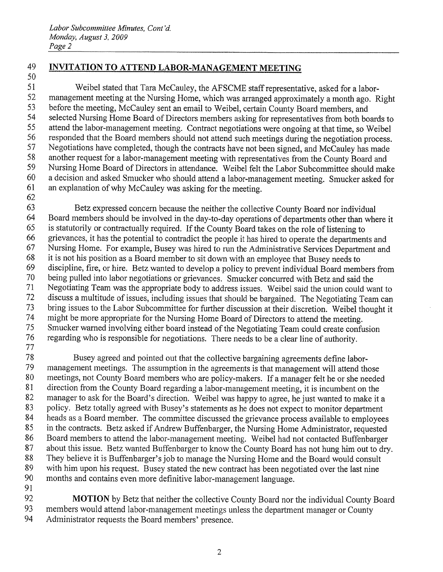# INVITATION TO ATTEND LABOR-MANAGEMENT MEETING

 Weibel stated that Tara McCauley, the AFSCME staff representative, asked for <sup>a</sup> labor- management meeting at the Nursing Home, which was arranged approximately <sup>a</sup> month ago. Right before the meeting, McCauley sent an email to Weibel, certain County Board members, and selected Nursing Home Board of Directors members asking for representatives from both boards to attend the labor-management meeting. Contract negotiations were ongoing at that time, so Weibel responded that the Board members should not attend such meetings during the negotiation process. Negotiations have completed, though the contracts have not been signed, and McCauley has made another request for <sup>a</sup> labor-management meeting with representatives from the County Board and Nursing Home Board of Directors in attendance. Weibel felt the Labor Subcommittee should make <sup>a</sup> decision and asked Smucker who should attend <sup>a</sup> labor-management meeting. Smucker asked for an explanation of why McCauley was asking for the meeting.

 Betz expressed concern because the neither the collective County Board nor individual Board members should be involved in the day-to-day operations of departments other than where it is statutorily or contractually required. If the County Board takes on the role of listening to grievances, it has the potential to contradict the people it has hired to operate the departments and Nursing Home. For example, Busey was hired to run the Administrative Services Department and it is not his position as <sup>a</sup> Board member to sit down with an employee that Busey needs to discipline, fire, or hire. Betz wanted to develop <sup>a</sup> policy to prevent individual Board members from being pulled into labor negotiations or grievances. Smucker concurred with Betz and said the Negotiating Team was the appropriate body to address issues. Weibel said the union could want to discuss <sup>a</sup> multitude of issues, including issues that should be bargained. The Negotiating Team can bring issues to the Labor Subcommittee for further discussion at their discretion. Weibel thought it might be more appropriate for the Nursing Home Board of Directors to attend the meeting. Smucker warned involving either board instead of the Negotiating Team could create confusion regarding who is responsible for negotiations. There needs to be <sup>a</sup> clear line of authority. 

 Busey agreed and pointed out that the collective bargaining agreements define labor- management meetings. The assumption in the agreements is that management will attend those meetings, not County Board members who are policy-makers. If <sup>a</sup> manager felt he or she needed direction from the County Board regarding <sup>a</sup> labor-management meeting, it is incumbent on the 82 manager to ask for the Board's direction. Weibel was happy to agree, he just wanted to make it a policy. Betz totally agreed with Busey's statements as he does not expect to monitor department heads as <sup>a</sup> Board member. The committee discussed the grievance process available to employees 85 in the contracts. Betz asked if Andrew Buffenbarger, the Nursing Home Administrator, requested Board members to attend the labor-management meeting. Weibel had not contacted Buffenbarger about this issue. Betz wanted Buffenbarger to know the County Board has not hung him out to dry. They believe it is Buffenbarger's job to manage the Nursing Home and the Board would consult 89 with him upon his request. Busey stated the new contract has been negotiated over the last nine months and contains even more definitive labor-management language.

**MOTION** by Betz that neither the collective County Board nor the individual County Board members would attend labor-management meetings unless the department manager or County Administrator requests the Board members' presence.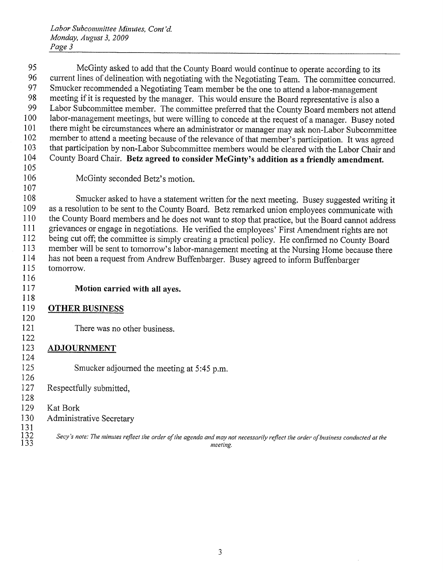Labor Subcommittee Minutes, Cont 'd. Monday, August 3, 2009 Page 3

 McGinty asked to add that the County Board would continue to operate according to its 96 current lines of delineation with negotiating with the Negotiating Team. The committee concurred. Smucker recommended <sup>a</sup> Negotiating Team member be the one to attend <sup>a</sup> labor-management 98 meeting if it is requested by the manager. This would ensure the Board representative is also a<br>99 Labor Subcommittee member. The committee preferred that the County Board members not at Labor Subcommittee member. The committee preferred that the County Board members not attend labor-management meetings, but were willing to concede at the request of <sup>a</sup> manager. Busey noted there might be circumstances where an administrator or manager may ask non-Labor Subcommittee member to attend <sup>a</sup> meeting because of the relevance of that member's participation. It was agreed 103 that participation by non-Labor Subcommittee members would be cleared with the Labor Chair and 104 County Board Chair. Betz agreed to consider McGinty's addition as a friendly amendment. 

McGinty seconded Betz's motion.

 Smucker asked to have <sup>a</sup> statement written for the next meeting. Busey suggested writing it as <sup>a</sup> resolution to be sent to the County Board. Betz remarked union employees communicate with the County Board members and he does not want to stop that practice, but the Board cannot address grievances or engage in negotiations. He verified the employees' First Amendment rights are not being cut off; the committee is simply creating <sup>a</sup> practical policy. He confirmed no County Board member will be sent to tomorrow's labor-management meeting at the Nursing Home because there has not been <sup>a</sup> request from Andrew Buffenbarger. Busey agreed to inform Buffenbarger tomorrow. 

## Motion carried with all ayes.

#### OTHER BUSINESS

There was no other business.

#### ADJOURNMENT

Smucker adjourned the meeting at 5:45 p.m.

## Respectfully submitted,

#### 129 Kat Bork

- 130 Administrative Secretary
- Secy's note: The minutes reflect the order of the agenda and may not necessarily reflect the order of business conducted at the 133 meeting.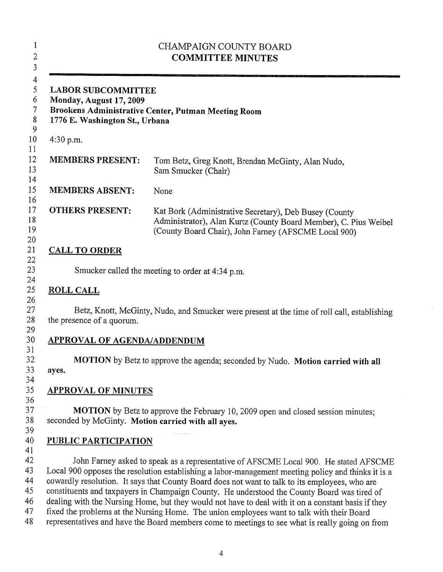|                                                                                        | CHAMPAIGN COUNTY BOARD<br><b>COMMITTEE MINUTES</b>                                                                                                                                                                                                                                                                                                                                                                                                                                                                                                                                                                                                                                                |
|----------------------------------------------------------------------------------------|---------------------------------------------------------------------------------------------------------------------------------------------------------------------------------------------------------------------------------------------------------------------------------------------------------------------------------------------------------------------------------------------------------------------------------------------------------------------------------------------------------------------------------------------------------------------------------------------------------------------------------------------------------------------------------------------------|
| <b>LABOR SUBCOMMITTEE</b><br>Monday, August 17, 2009<br>1776 E. Washington St., Urbana | Brookens Administrative Center, Putman Meeting Room                                                                                                                                                                                                                                                                                                                                                                                                                                                                                                                                                                                                                                               |
| 4:30 p.m.                                                                              |                                                                                                                                                                                                                                                                                                                                                                                                                                                                                                                                                                                                                                                                                                   |
| <b>MEMBERS PRESENT:</b>                                                                | Tom Betz, Greg Knott, Brendan McGinty, Alan Nudo,<br>Sam Smucker (Chair)                                                                                                                                                                                                                                                                                                                                                                                                                                                                                                                                                                                                                          |
| <b>MEMBERS ABSENT:</b>                                                                 | None                                                                                                                                                                                                                                                                                                                                                                                                                                                                                                                                                                                                                                                                                              |
| <b>OTHERS PRESENT:</b>                                                                 | Kat Bork (Administrative Secretary), Deb Busey (County<br>Administrator), Alan Kurtz (County Board Member), C. Pius Weibel<br>(County Board Chair), John Farney (AFSCME Local 900)                                                                                                                                                                                                                                                                                                                                                                                                                                                                                                                |
| <b>CALL TO ORDER</b>                                                                   |                                                                                                                                                                                                                                                                                                                                                                                                                                                                                                                                                                                                                                                                                                   |
|                                                                                        | Smucker called the meeting to order at 4:34 p.m.                                                                                                                                                                                                                                                                                                                                                                                                                                                                                                                                                                                                                                                  |
| <b>ROLL CALL</b>                                                                       |                                                                                                                                                                                                                                                                                                                                                                                                                                                                                                                                                                                                                                                                                                   |
| the presence of a quorum.                                                              | Betz, Knott, McGinty, Nudo, and Smucker were present at the time of roll call, establishing                                                                                                                                                                                                                                                                                                                                                                                                                                                                                                                                                                                                       |
| <b>APPROVAL OF AGENDA/ADDENDUM</b>                                                     |                                                                                                                                                                                                                                                                                                                                                                                                                                                                                                                                                                                                                                                                                                   |
| ayes.                                                                                  | MOTION by Betz to approve the agenda; seconded by Nudo. Motion carried with all                                                                                                                                                                                                                                                                                                                                                                                                                                                                                                                                                                                                                   |
| <b>APPROVAL OF MINUTES</b>                                                             |                                                                                                                                                                                                                                                                                                                                                                                                                                                                                                                                                                                                                                                                                                   |
| seconded by McGinty. Motion carried with all ayes.                                     | MOTION by Betz to approve the February 10, 2009 open and closed session minutes;                                                                                                                                                                                                                                                                                                                                                                                                                                                                                                                                                                                                                  |
| PUBLIC PARTICIPATION                                                                   |                                                                                                                                                                                                                                                                                                                                                                                                                                                                                                                                                                                                                                                                                                   |
|                                                                                        | John Farney asked to speak as a representative of AFSCME Local 900. He stated AFSCME<br>Local 900 opposes the resolution establishing a labor-management meeting policy and thinks it is a<br>cowardly resolution. It says that County Board does not want to talk to its employees, who are<br>constituents and taxpayers in Champaign County. He understood the County Board was tired of<br>dealing with the Nursing Home, but they would not have to deal with it on a constant basis if they<br>fixed the problems at the Nursing Home. The union employees want to talk with their Board<br>representatives and have the Board members come to meetings to see what is really going on from |

 $\bar{z}$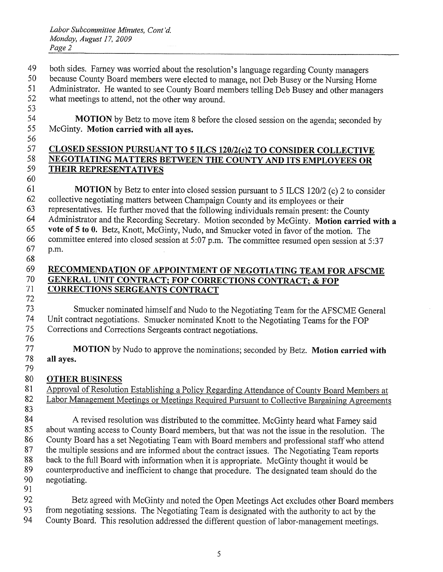- both sides. Farney was worried about the resolution's language regarding County managers
- because County Board members were elected to manage, not Deb Busey or the Nursing Home

 Administrator. He wanted to see County Board members telling Deb Busey and other managers what meetings to attend, not the other way around.

**MOTION** by Betz to move item 8 before the closed session on the agenda; seconded by McGinty. Motion carried with all ayes.

#### 57 CLOSED SESSION PURSUANT TO 5 ILCS 120/2(c)2 TO CONSIDER COLLECTIVE 58 NEGOTIATING MATTERS BETWEEN THE COUNTY AND ITS EMPLOYEES OR THEIR REPRESENTATIVES

 MOTION by Betz to enter into closed session pursuant to 5 ILCS 120/2 (c) 2 to consider collective negotiating matters between Champaign County and its employees or their representatives. He further moved that the following individuals remain present: the County Administrator and the Recording Secretary. Motion seconded by McGinty. Motion carried with <sup>a</sup> vote of 5 to 0. Betz, Knott, McGinty, Nudo, and Smucker voted in favor of the motion. The committee entered into closed session at 5:07 p.m. The committee resumed open session at 5:37 p.m. 

#### 69 RECOMMENDATION OF APPOINTMENT OF NEGOTIATING TEAM FOR AFSCME GENERAL UNIT CONTRACT; FOP CORRECTIONS CONTRACT; & FOP CORRECTIONS SERGEANTS CONTRACT

 Smucker nominated himself and Nudo to the Negotiating Team for the AFSCME General Unit contract negotiations. Smucker nominated Knott to the Negotiating Teams for the FOP Corrections and Corrections Sergeants contract negotiations. 

77 MOTION by Nudo to approve the nominations; seconded by Betz. Motion carried with all ayes. 

# OTHER BUSINESS

81 Approval of Resolution Establishing a Policy Regarding Attendance of County Board Members at Labor Management Meetings or Meetings Required Pursuant to Collective Bargaining Agreements 84 A revised resolution was distributed to the committee. McGinty heard what Farney said about wanting access to County Board members, but that was not the issue in the resolution. The County Board has <sup>a</sup> set Negotiating Team with Board members and professional staff who attend the multiple sessions and are informed about the contract issues. The Negotiating Team reports back to the full Board with information when it is appropriate. McGinty thought it would be counterproductive and inefficient to change that procedure. The designated team should do the negotiating. 

 Betz agreed with McGinty and noted the Open Meetings Act excludes other Board members from negotiating sessions. The Negotiating Team is designated with the authority to act by the 94 County Board. This resolution addressed the different question of labor-management meetings.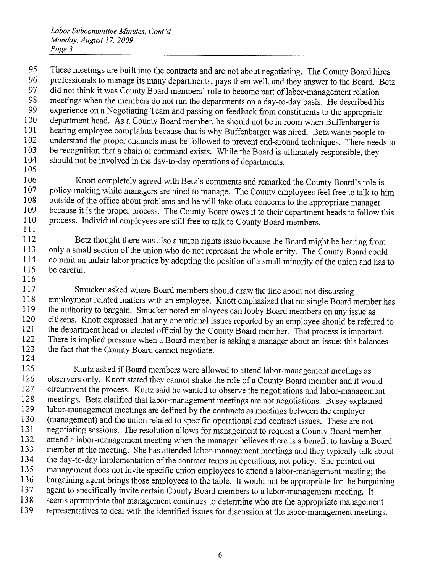95 These meetings are built into the contracts and are not about negotiating. The County Board hires 96 professionals to manage its many departments, pays them well, and they answer to the Board. Betz 97 did not think it was County Board members' role to become part of labor-management relation 98 meetings when the members do not run the departments on a day-to-day basis. He described his 99 experience on a Negotiating Team and passing on feedback from constituents to the appropriate 100 department head. As a County Board member, he should not be in room when Buffenbarger is 101 hearing employee complaints because that is why Buffenbarger was hired. Betz wants people to 102 understand the proper channels must be followed to prevent end-around techniques. There needs to 103 be recognition that a chain of command exists. While the Board is ultimately responsible, they<br>104 should not be involved in the day-to-day operations of departments should not be involved in the day-to-day operations of departments. 105

106 Knott completely agreed with Betz's comments and remarked the County Board's role is 107 policy-making while managers are hired to manage. The County employees feel free to talk to him 108 outside of the office about problems and he will take other concerns to the appropriate manager 109 because it is the proper process. The County Board owes it to their department heads to follow this 110 process. Individual employees are still free to talk to County Board members. 111

<sup>112</sup> Betz thought there was also <sup>a</sup> union rights issue because the Board might be hearing from 113 only a small section of the union who do not represent the whole entity. The County Board could 114 commit an unfair labor practice by adopting the position of a small minority of the union and has to be careful. be careful. 116

117 Smucker asked where Board members should draw the line about not discussing 118 employment related matters with an employee. Knott emphasized that no single Board member has 119 the authority to bargain. Smucker noted employees can lobby Board members on any issue as 120 citizens. Knott expressed that any operational issues reported by an employee should be referred to 121 the department head or elected official by the County Board member. That process is important. 122 There is implied pressure when a Board member is asking a manager about an issue; this balances 123 the fact that the County Board cannot negotiate. 124

125 Kurtz asked if Board members were allowed to attend labor-management meetings as 126 observers only. Knott stated they cannot shake the role of a County Board member and it would 127 circumvent the process. Kurtz said he wanted to observe the negotiations and labor-management 128 meetings. Betz clarified that labor-management meetings are not negotiations. Busey explained 129 labor-management meetings are defined by the contracts as meetings between the employer 130 (management) and the union related to specific operational and contract issues. These are not 131 negotiating sessions. The resolution allows for management to request <sup>a</sup> County Board member 132 attend <sup>a</sup> labor-management meeting when the manager believes there is <sup>a</sup> benefit to having <sup>a</sup> Board 133 member at the meeting. She has attended labor-management meetings and they typically talk about 134 the day-to-day implementation of the contract terms in operations, not policy. She pointed out 135 management does not invite specific union employees to attend <sup>a</sup> labor-management meeting; the 136 bargaining agent brings those employees to the table. It would not be appropriate for the bargaining<br>137 agent to specifically invite certain County Board members to a labor-management meeting. It agent to specifically invite certain County Board members to a labor-management meeting. It 138 seems appropriate that management continues to determine who are the appropriate management 139 representatives to deal with the identified issues for discussion at the labor-management meetings.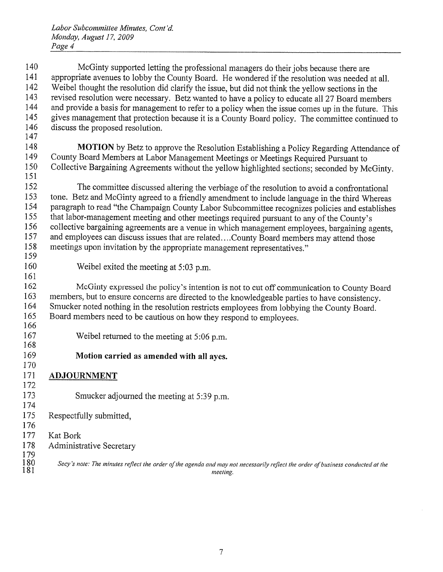McGinty supported letting the professional managers do their jobs because there are 141 appropriate avenues to lobby the County Board. He wondered if the resolution was needed at all. Weibel thought the resolution did clarify the issue, but did not think the yellow sections in the revised resolution were necessary. Betz wanted to have <sup>a</sup> policy to educate all 27 Board members and provide <sup>a</sup> basis for management to refer to <sup>a</sup> policy when the issue comes up in the future. This 145 gives management that protection because it is a County Board policy. The committee continued to discuss the proposed resolution. **MOTION** by Betz to approve the Resolution Establishing a Policy Regarding Attendance of 149 County Board Members at Labor Management Meetings or Meetings Required Pursuant to County Board Members at Labor Management Meetings or Meetings Required Pursuant to Collective Bargaining Agreements without the yellow highlighted sections; seconded by McGinty. 152 The committee discussed altering the verbiage of the resolution to avoid a confrontational tone. Betz and McGinty agreed to <sup>a</sup> friendly amendment to include language in the third Whereas paragraph to read "the Champaign County Labor Subcommittee recognizes policies and establishes that labor-management meeting and other meetings required pursuant to any of the County's collective bargaining agreements are <sup>a</sup> venue in which management employees, bargaining agents, 157 and employees can discuss issues that are related....County Board members may attend those meetings upon invitation by the appropriate management representatives." Weibel exited the meeting at 5:03 p.m. McGinty expressed the policy's intention is not to cut off communication to County Board members, but to ensure concerns are directed to the knowledgeable parties to have consistency. Smucker noted nothing in the resolution restricts employees from lobbying the County Board. Board members need to be cautious on how they respond to employees. Weibel returned to the meeting at 5:06 p.m. Motion carried as amended with all ayes. ADJOURNMENT Smucker adjourned the meeting at 5:39 p.m. Respectfully submitted, 177 Kat Bork Administrative Secretary  $\begin{array}{c} 179 \\ 180 \\ 181 \end{array}$ Secy's note: The minutes reflect the order of the agenda and may not necessarily reflect the order of business conducted at the neeting.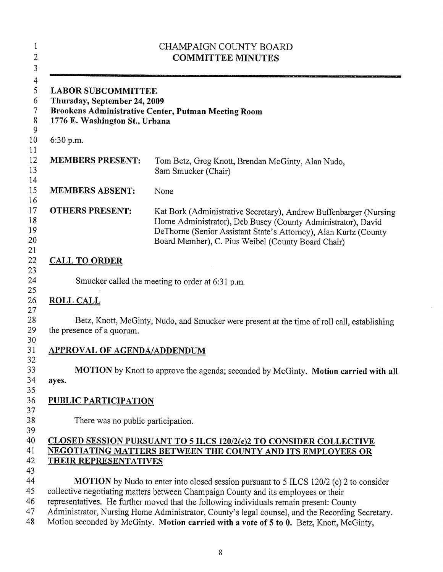| <b>LABOR SUBCOMMITTEE</b><br>Thursday, September 24, 2009<br>1776 E. Washington St., Urbana | Brookens Administrative Center, Putman Meeting Room                                                                                                                                                                                                          |
|---------------------------------------------------------------------------------------------|--------------------------------------------------------------------------------------------------------------------------------------------------------------------------------------------------------------------------------------------------------------|
| 6:30 p.m.                                                                                   |                                                                                                                                                                                                                                                              |
| <b>MEMBERS PRESENT:</b>                                                                     | Tom Betz, Greg Knott, Brendan McGinty, Alan Nudo,<br>Sam Smucker (Chair)                                                                                                                                                                                     |
| <b>MEMBERS ABSENT:</b>                                                                      | None                                                                                                                                                                                                                                                         |
| <b>OTHERS PRESENT:</b>                                                                      | Kat Bork (Administrative Secretary), Andrew Buffenbarger (Nursing)<br>Home Administrator), Deb Busey (County Administrator), David<br>DeThorne (Senior Assistant State's Attorney), Alan Kurtz (County<br>Board Member), C. Pius Weibel (County Board Chair) |
| <b>CALL TO ORDER</b>                                                                        |                                                                                                                                                                                                                                                              |
|                                                                                             | Smucker called the meeting to order at 6:31 p.m.                                                                                                                                                                                                             |
|                                                                                             |                                                                                                                                                                                                                                                              |
|                                                                                             |                                                                                                                                                                                                                                                              |
| <b>ROLL CALL</b><br>the presence of a quorum.                                               |                                                                                                                                                                                                                                                              |
| <b>APPROVAL OF AGENDA/ADDENDUM</b>                                                          |                                                                                                                                                                                                                                                              |
| ayes.                                                                                       |                                                                                                                                                                                                                                                              |
|                                                                                             |                                                                                                                                                                                                                                                              |
| <b>PUBLIC PARTICIPATION</b>                                                                 | Betz, Knott, McGinty, Nudo, and Smucker were present at the time of roll call, establishing<br>MOTION by Knott to approve the agenda; seconded by McGinty. Motion carried with all                                                                           |
| There was no public participation.                                                          |                                                                                                                                                                                                                                                              |
| <b>THEIR REPRESENTATIVES</b>                                                                | CLOSED SESSION PURSUANT TO 5 ILCS 120/2(c)2 TO CONSIDER COLLECTIVE<br>NEGOTIATING MATTERS BETWEEN THE COUNTY AND ITS EMPLOYEES OR                                                                                                                            |

 $\mathcal{L}_{\mathcal{A}}$